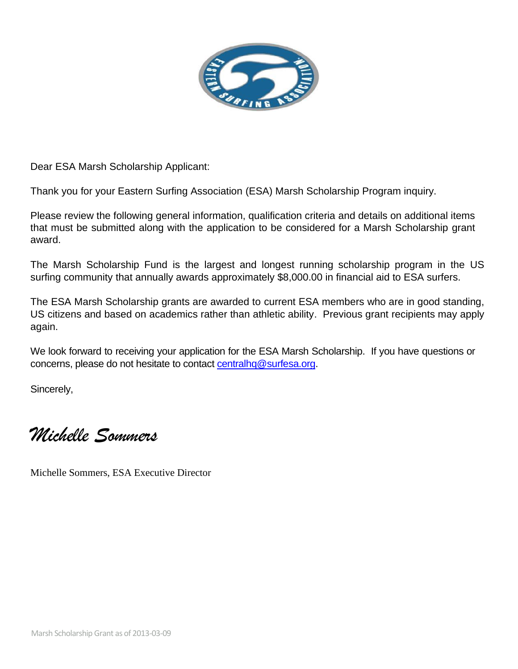

Dear ESA Marsh Scholarship Applicant:

Thank you for your Eastern Surfing Association (ESA) Marsh Scholarship Program inquiry.

Please review the following general information, qualification criteria and details on additional items that must be submitted along with the application to be considered for a Marsh Scholarship grant award.

The Marsh Scholarship Fund is the largest and longest running scholarship program in the US surfing community that annually awards approximately \$8,000.00 in financial aid to ESA surfers.

The ESA Marsh Scholarship grants are awarded to current ESA members who are in good standing, US citizens and based on academics rather than athletic ability. Previous grant recipients may apply again.

We look forward to receiving your application for the ESA Marsh Scholarship. If you have questions or concerns, please do not hesitate to contact [centralhq@surfesa.org.](mailto:centralhq@surfesa.org)

Sincerely,

*Michelle Sommers*

Michelle Sommers, ESA Executive Director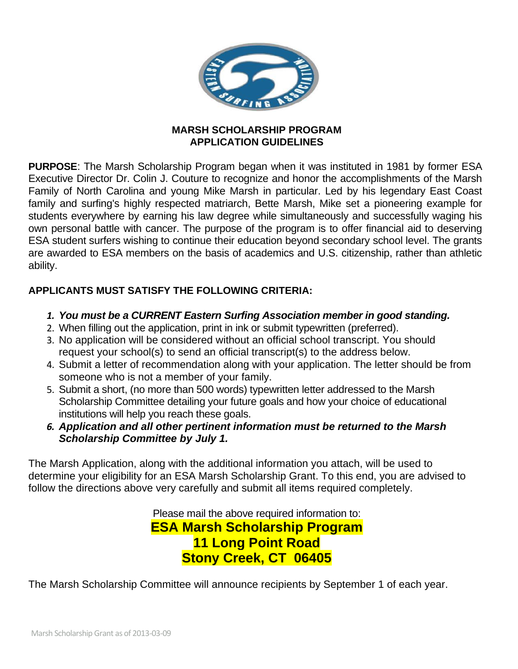

## **MARSH SCHOLARSHIP PROGRAM APPLICATION GUIDELINES**

**PURPOSE**: The Marsh Scholarship Program began when it was instituted in 1981 by former ESA Executive Director Dr. Colin J. Couture to recognize and honor the accomplishments of the Marsh Family of North Carolina and young Mike Marsh in particular. Led by his legendary East Coast family and surfing's highly respected matriarch, Bette Marsh, Mike set a pioneering example for students everywhere by earning his law degree while simultaneously and successfully waging his own personal battle with cancer. The purpose of the program is to offer financial aid to deserving ESA student surfers wishing to continue their education beyond secondary school level. The grants are awarded to ESA members on the basis of academics and U.S. citizenship, rather than athletic ability.

## **APPLICANTS MUST SATISFY THE FOLLOWING CRITERIA:**

- *1. You must be a CURRENT Eastern Surfing Association member in good standing.*
- 2. When filling out the application, print in ink or submit typewritten (preferred).
- 3. No application will be considered without an official school transcript. You should request your school(s) to send an official transcript(s) to the address below.
- 4. Submit a letter of recommendation along with your application. The letter should be from someone who is not a member of your family.
- 5. Submit a short, (no more than 500 words) typewritten letter addressed to the Marsh Scholarship Committee detailing your future goals and how your choice of educational institutions will help you reach these goals.
- *6. Application and all other pertinent information must be returned to the Marsh Scholarship Committee by July 1.*

The Marsh Application, along with the additional information you attach, will be used to determine your eligibility for an ESA Marsh Scholarship Grant. To this end, you are advised to follow the directions above very carefully and submit all items required completely.

> Please mail the above required information to: **ESA Marsh Scholarship Program 11 Long Point Road Stony Creek, CT 06405**

The Marsh Scholarship Committee will announce recipients by September 1 of each year.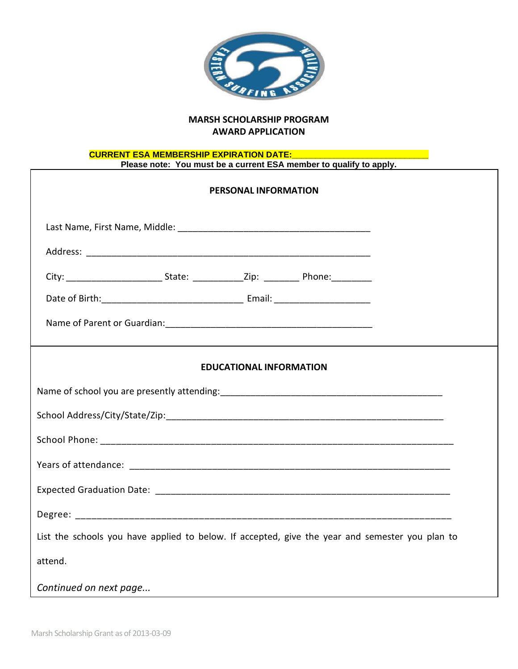

## **MARSH SCHOLARSHIP PROGRAM AWARD APPLICATION**

## **CURRENT ESA MEMBERSHIP EXPIRATION DATE:\_\_\_\_\_\_\_\_\_\_\_\_\_\_\_\_\_\_\_\_\_\_\_\_\_\_\_\_\_ Please note: You must be a current ESA member to qualify to apply.**

| <b>PERSONAL INFORMATION</b>                                                                     |
|-------------------------------------------------------------------------------------------------|
|                                                                                                 |
|                                                                                                 |
|                                                                                                 |
|                                                                                                 |
|                                                                                                 |
|                                                                                                 |
| <b>EDUCATIONAL INFORMATION</b>                                                                  |
|                                                                                                 |
|                                                                                                 |
|                                                                                                 |
|                                                                                                 |
|                                                                                                 |
|                                                                                                 |
| List the schools you have applied to below. If accepted, give the year and semester you plan to |
| attend.                                                                                         |
| Continued on next page                                                                          |

 $\Gamma$